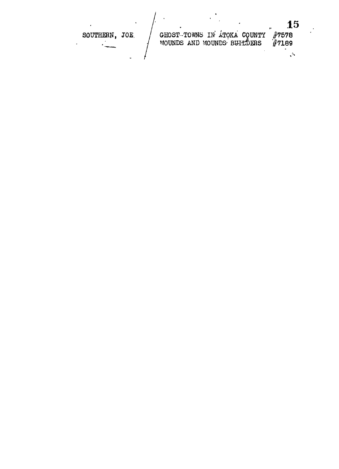15 GHOST-TOWNS IN ÁTOKA COUNTY<br>MOUNDS AND MOUNDS BUILDERS  $\frac{1}{4}7578$ <br> $\frac{1}{4}7189$ SOUTHERN, JOE.  $\overline{a}$  $\sqrt{2}$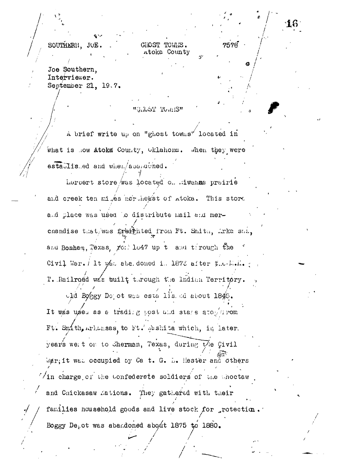SOUTHERN, JOE Joe Southern,

Interviewer. September 21, 19.7.

"G.IGST TOMIS"

GHOST TOWNS. Atoka County  $7578$ 

A brief write up on "ghost towns" located in what is now Atoka County, Oklahoma. When they were estallis ed and when/aparached.

heroert store was located on mivenue prairie and creek ten mi és northeast of atoka. This store a.d place was used to distribute mail and merchandise that/was traighted from Ft. Smith, Arka sai. and Bonham, Texas, roll lo47 up t and tirough the Civil War.  $/$  It was abadoned in 1873 after  $y_{\ldots}$ . Mol. T. Railroäd was built through the Indian Territory.

old Boggy Depot was esta listed about 1845. It was used as a trading post and stare atophrom Ft. Smith, Arkansas, to Ft. gashita which, in later. years we to to cherman, Texas, during the Civil War; it was occupied by Ca t. G. D. Hester and others  $\sqrt{2}$  in charge of the tonfederate soldiers of the thoctaw and Chickasaw Mations. They gathered with their families household goods and live stock for protection. Boggy Depot was abandoned about 1875 to 1880.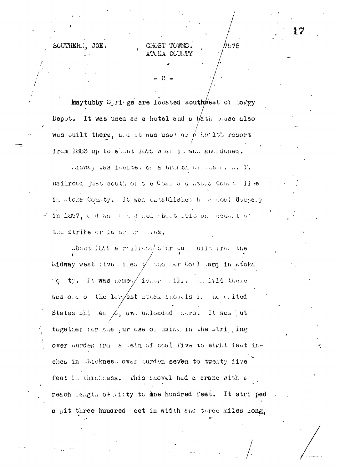SOUTHERN. JOE.

## CHOST TOWNS

578

Maytubby Springs are located southwest of Coppy Depot. It was used as a hotel and a tath mouse also was built there, and it was used as yeller lth rosort from 1883 up to about 1895 when it was abundoned.

Lidway mas locate. or a brach or mer. K. T. Hailroad just south of the Coal and Atoma Count lise in atoka County. It was cleablished by a coal Company in 1897, a d was a a d ned point rile on economic the strike or la or or lies.

about 1899 a reilroad/s'ur as. uilt from the Lidway west live .i.e. y the her Coal lamp in Atoka Con ty. It was hamed ideory time in 1914 there was ole of the largest stade showels i. He wited States shi jea  $\angle$ , and unloaded nore. It was jut together for the ur ose of using in the striping over purded from a sein of coal five to eight feet inches in Juckness over ourden seven to twenty five feet in thichness. This shovel had a crane with a reach length of lity to ane hundred feet. It striped a pit three hundred eet in width and three miles long.